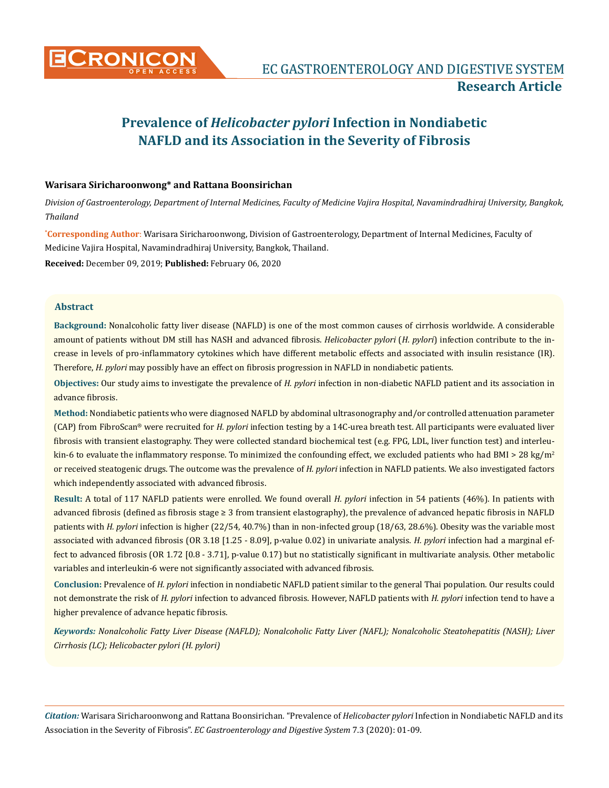

# **Prevalence of** *Helicobacter pylori* **Infection in Nondiabetic NAFLD and its Association in the Severity of Fibrosis**

# **Warisara Siricharoonwong\* and Rattana Boonsirichan**

*Division of Gastroenterology, Department of Internal Medicines, Faculty of Medicine Vajira Hospital, Navamindradhiraj University, Bangkok, Thailand*

**\* Corresponding Author**: Warisara Siricharoonwong, Division of Gastroenterology, Department of Internal Medicines, Faculty of Medicine Vajira Hospital, Navamindradhiraj University, Bangkok, Thailand.

**Received:** December 09, 2019; **Published:** February 06, 2020

# **Abstract**

**Background:** Nonalcoholic fatty liver disease (NAFLD) is one of the most common causes of cirrhosis worldwide. A considerable amount of patients without DM still has NASH and advanced fibrosis. *Helicobacter pylori* (*H. pylori*) infection contribute to the increase in levels of pro-inflammatory cytokines which have different metabolic effects and associated with insulin resistance (IR). Therefore, *H. pylori* may possibly have an effect on fibrosis progression in NAFLD in nondiabetic patients.

**Objectives:** Our study aims to investigate the prevalence of *H. pylori* infection in non-diabetic NAFLD patient and its association in advance fibrosis.

**Method:** Nondiabetic patients who were diagnosed NAFLD by abdominal ultrasonography and/or controlled attenuation parameter (CAP) from FibroScan® were recruited for *H. pylori* infection testing by a 14C-urea breath test. All participants were evaluated liver fibrosis with transient elastography. They were collected standard biochemical test (e.g. FPG, LDL, liver function test) and interleukin-6 to evaluate the inflammatory response. To minimized the confounding effect, we excluded patients who had BMI > 28 kg/m<sup>2</sup> or received steatogenic drugs. The outcome was the prevalence of *H. pylori* infection in NAFLD patients. We also investigated factors which independently associated with advanced fibrosis.

**Result:** A total of 117 NAFLD patients were enrolled. We found overall *H. pylori* infection in 54 patients (46%). In patients with advanced fibrosis (defined as fibrosis stage ≥ 3 from transient elastography), the prevalence of advanced hepatic fibrosis in NAFLD patients with *H. pylori* infection is higher (22/54, 40.7%) than in non-infected group (18/63, 28.6%). Obesity was the variable most associated with advanced fibrosis (OR 3.18 [1.25 - 8.09], p-value 0.02) in univariate analysis. *H. pylori* infection had a marginal effect to advanced fibrosis (OR 1.72 [0.8 - 3.71], p-value 0.17) but no statistically significant in multivariate analysis. Other metabolic variables and interleukin-6 were not significantly associated with advanced fibrosis.

**Conclusion:** Prevalence of *H. pylori* infection in nondiabetic NAFLD patient similar to the general Thai population. Our results could not demonstrate the risk of *H. pylori* infection to advanced fibrosis. However, NAFLD patients with *H. pylori* infection tend to have a higher prevalence of advance hepatic fibrosis.

*Keywords: Nonalcoholic Fatty Liver Disease (NAFLD); Nonalcoholic Fatty Liver (NAFL); Nonalcoholic Steatohepatitis (NASH); Liver Cirrhosis (LC); Helicobacter pylori (H. pylori)*

*Citation:* Warisara Siricharoonwong and Rattana Boonsirichan*.* "Prevalence of *Helicobacter pylori* Infection in Nondiabetic NAFLD and its Association in the Severity of Fibrosis". *EC Gastroenterology and Digestive System* 7.3 (2020): 01-09.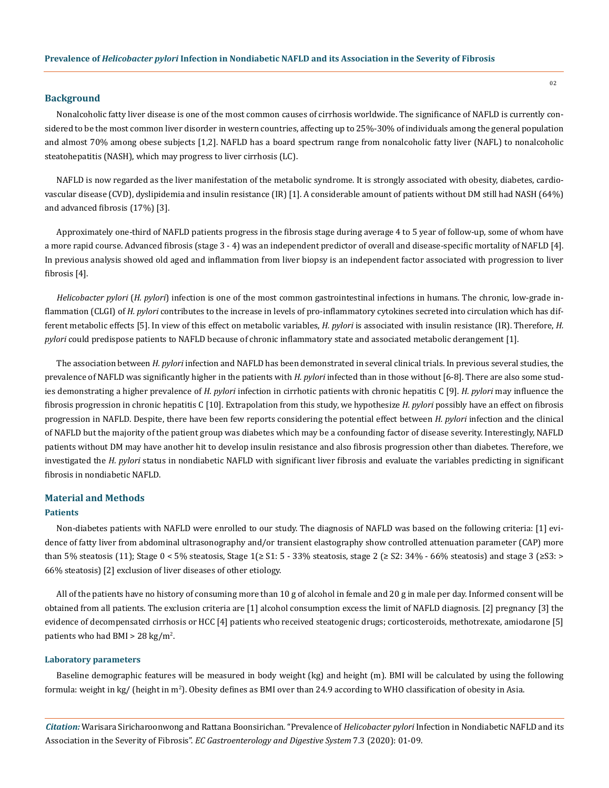# **Background**

Nonalcoholic fatty liver disease is one of the most common causes of cirrhosis worldwide. The significance of NAFLD is currently considered to be the most common liver disorder in western countries, affecting up to 25%-30% of individuals among the general population and almost 70% among obese subjects [1,2]. NAFLD has a board spectrum range from nonalcoholic fatty liver (NAFL) to nonalcoholic steatohepatitis (NASH), which may progress to liver cirrhosis (LC).

NAFLD is now regarded as the liver manifestation of the metabolic syndrome. It is strongly associated with obesity, diabetes, cardiovascular disease (CVD), dyslipidemia and insulin resistance (IR) [1]. A considerable amount of patients without DM still had NASH (64%) and advanced fibrosis (17%) [3].

Approximately one-third of NAFLD patients progress in the fibrosis stage during average 4 to 5 year of follow-up, some of whom have a more rapid course. Advanced fibrosis (stage 3 - 4) was an independent predictor of overall and disease-specific mortality of NAFLD [4]. In previous analysis showed old aged and inflammation from liver biopsy is an independent factor associated with progression to liver fibrosis [4].

*Helicobacter pylori* (*H. pylori*) infection is one of the most common gastrointestinal infections in humans. The chronic, low-grade inflammation (CLGI) of *H. pylori* contributes to the increase in levels of pro-inflammatory cytokines secreted into circulation which has different metabolic effects [5]. In view of this effect on metabolic variables, *H. pylori* is associated with insulin resistance (IR). Therefore, *H. pylori* could predispose patients to NAFLD because of chronic inflammatory state and associated metabolic derangement [1].

The association between *H. pylori* infection and NAFLD has been demonstrated in several clinical trials. In previous several studies, the prevalence of NAFLD was significantly higher in the patients with *H. pylori* infected than in those without [6-8]. There are also some studies demonstrating a higher prevalence of *H. pylori* infection in cirrhotic patients with chronic hepatitis C [9]. *H. pylori* may influence the fibrosis progression in chronic hepatitis C [10]. Extrapolation from this study, we hypothesize *H. pylori* possibly have an effect on fibrosis progression in NAFLD. Despite, there have been few reports considering the potential effect between *H. pylori* infection and the clinical of NAFLD but the majority of the patient group was diabetes which may be a confounding factor of disease severity. Interestingly, NAFLD patients without DM may have another hit to develop insulin resistance and also fibrosis progression other than diabetes. Therefore, we investigated the *H. pylori* status in nondiabetic NAFLD with significant liver fibrosis and evaluate the variables predicting in significant fibrosis in nondiabetic NAFLD.

# **Material and Methods**

#### **Patients**

Non-diabetes patients with NAFLD were enrolled to our study. The diagnosis of NAFLD was based on the following criteria: [1] evidence of fatty liver from abdominal ultrasonography and/or transient elastography show controlled attenuation parameter (CAP) more than 5% steatosis (11); Stage  $0 < 5\%$  steatosis, Stage  $1\geq S1: 5 - 33\%$  steatosis, stage  $2\geq S2: 34\% - 66\%$  steatosis) and stage  $3\geq S3:$ 66% steatosis) [2] exclusion of liver diseases of other etiology.

All of the patients have no history of consuming more than 10 g of alcohol in female and 20 g in male per day. Informed consent will be obtained from all patients. The exclusion criteria are [1] alcohol consumption excess the limit of NAFLD diagnosis. [2] pregnancy [3] the evidence of decompensated cirrhosis or HCC [4] patients who received steatogenic drugs; corticosteroids, methotrexate, amiodarone [5] patients who had BMI >  $28 \text{ kg/m}^2$ .

#### **Laboratory parameters**

Baseline demographic features will be measured in body weight (kg) and height (m). BMI will be calculated by using the following formula: weight in kg/ (height in m<sup>2</sup>). Obesity defines as BMI over than 24.9 according to WHO classification of obesity in Asia.

*Citation:* Warisara Siricharoonwong and Rattana Boonsirichan*.* "Prevalence of *Helicobacter pylori* Infection in Nondiabetic NAFLD and its Association in the Severity of Fibrosis". *EC Gastroenterology and Digestive System* 7.3 (2020): 01-09.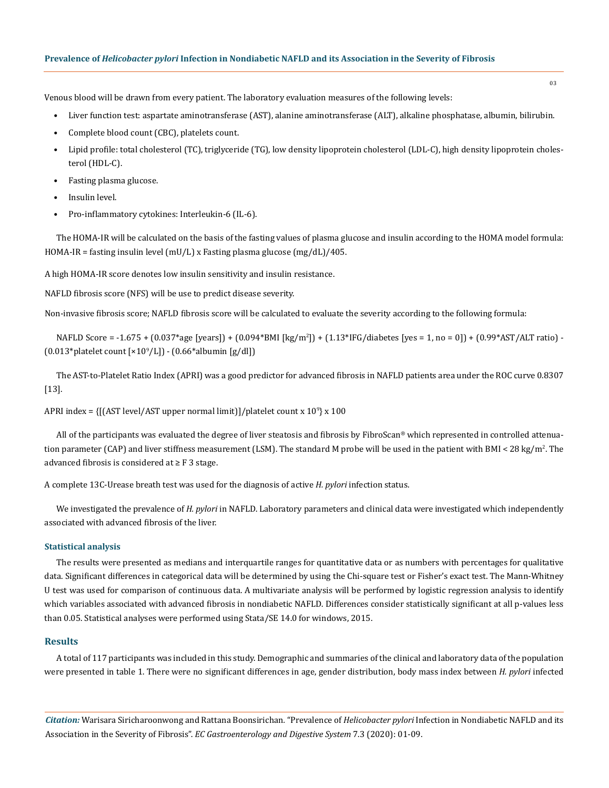Venous blood will be drawn from every patient. The laboratory evaluation measures of the following levels:

- Liver function test: aspartate aminotransferase (AST), alanine aminotransferase (ALT), alkaline phosphatase, albumin, bilirubin.
- Complete blood count (CBC), platelets count.
- Lipid profile: total cholesterol (TC), triglyceride (TG), low density lipoprotein cholesterol (LDL-C), high density lipoprotein cholesterol (HDL-C).
- Fasting plasma glucose.
- Insulin level.
- Pro-inflammatory cytokines: Interleukin-6 (IL-6).

The HOMA-IR will be calculated on the basis of the fasting values of plasma glucose and insulin according to the HOMA model formula: HOMA-IR = fasting insulin level (mU/L) x Fasting plasma glucose (mg/dL)/405.

A high HOMA-IR score denotes low insulin sensitivity and insulin resistance.

NAFLD fibrosis score (NFS) will be use to predict disease severity.

Non-invasive fibrosis score; NAFLD fibrosis score will be calculated to evaluate the severity according to the following formula:

NAFLD Score = -1.675 + (0.037\*age [years]) + (0.094\*BMI [kg/m<sup>2</sup> ]) + (1.13\*IFG/diabetes [yes = 1, no = 0]) + (0.99\*AST/ALT ratio) -  $(0.013*)$ platelet count  $[x10^9/L]$ ) -  $(0.66*)$ albumin [g/dl])

The AST-to-Platelet Ratio Index (APRI) was a good predictor for advanced fibrosis in NAFLD patients area under the ROC curve 0.8307 [13].

APRI index = {[(AST level/AST upper normal limit)]/platelet count x 10<sup>9</sup> } x 100

All of the participants was evaluated the degree of liver steatosis and fibrosis by FibroScan® which represented in controlled attenuation parameter (CAP) and liver stiffness measurement (LSM). The standard M probe will be used in the patient with BMI < 28 kg/m<sup>2</sup> . The advanced fibrosis is considered at  $\geq$  F 3 stage.

A complete 13C-Urease breath test was used for the diagnosis of active *H. pylori* infection status.

We investigated the prevalence of *H. pylori* in NAFLD. Laboratory parameters and clinical data were investigated which independently associated with advanced fibrosis of the liver.

#### **Statistical analysis**

The results were presented as medians and interquartile ranges for quantitative data or as numbers with percentages for qualitative data. Significant differences in categorical data will be determined by using the Chi-square test or Fisher's exact test. The Mann-Whitney U test was used for comparison of continuous data. A multivariate analysis will be performed by logistic regression analysis to identify which variables associated with advanced fibrosis in nondiabetic NAFLD. Differences consider statistically significant at all p-values less than 0.05. Statistical analyses were performed using Stata/SE 14.0 for windows, 2015.

## **Results**

A total of 117 participants was included in this study. Demographic and summaries of the clinical and laboratory data of the population were presented in table 1. There were no significant differences in age, gender distribution, body mass index between *H. pylori* infected

*Citation:* Warisara Siricharoonwong and Rattana Boonsirichan*.* "Prevalence of *Helicobacter pylori* Infection in Nondiabetic NAFLD and its Association in the Severity of Fibrosis". *EC Gastroenterology and Digestive System* 7.3 (2020): 01-09.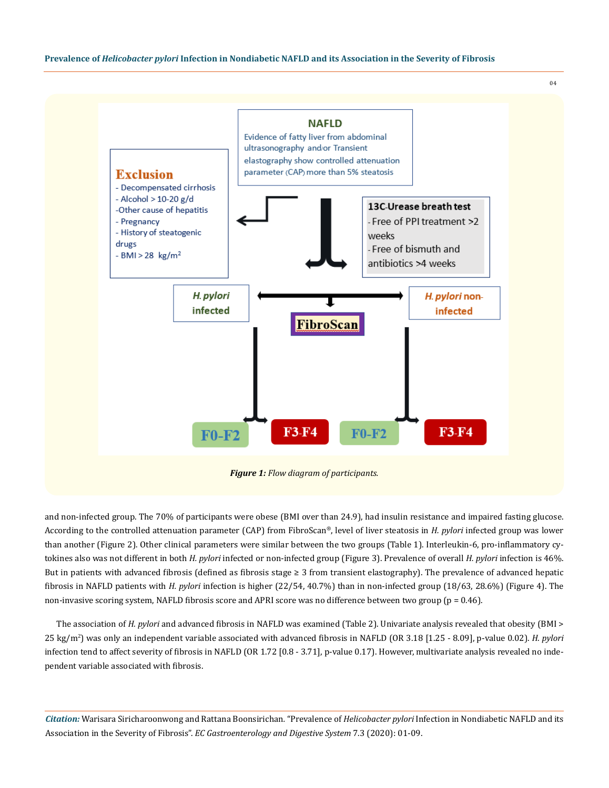

and non-infected group. The 70% of participants were obese (BMI over than 24.9), had insulin resistance and impaired fasting glucose. According to the controlled attenuation parameter (CAP) from FibroScan®, level of liver steatosis in *H. pylori* infected group was lower than another (Figure 2). Other clinical parameters were similar between the two groups (Table 1). Interleukin-6, pro-inflammatory cytokines also was not different in both *H. pylori* infected or non-infected group (Figure 3). Prevalence of overall *H. pylori* infection is 46%. But in patients with advanced fibrosis (defined as fibrosis stage  $\geq 3$  from transient elastography). The prevalence of advanced hepatic fibrosis in NAFLD patients with *H. pylori* infection is higher (22/54, 40.7%) than in non-infected group (18/63, 28.6%) (Figure 4). The non-invasive scoring system, NAFLD fibrosis score and APRI score was no difference between two group ( $p = 0.46$ ).

The association of *H. pylori* and advanced fibrosis in NAFLD was examined (Table 2). Univariate analysis revealed that obesity (BMI > 25 kg/m2 ) was only an independent variable associated with advanced fibrosis in NAFLD (OR 3.18 [1.25 - 8.09], p-value 0.02). *H. pylori* infection tend to affect severity of fibrosis in NAFLD (OR 1.72 [0.8 - 3.71], p-value 0.17). However, multivariate analysis revealed no independent variable associated with fibrosis.

*Citation:* Warisara Siricharoonwong and Rattana Boonsirichan*.* "Prevalence of *Helicobacter pylori* Infection in Nondiabetic NAFLD and its Association in the Severity of Fibrosis". *EC Gastroenterology and Digestive System* 7.3 (2020): 01-09.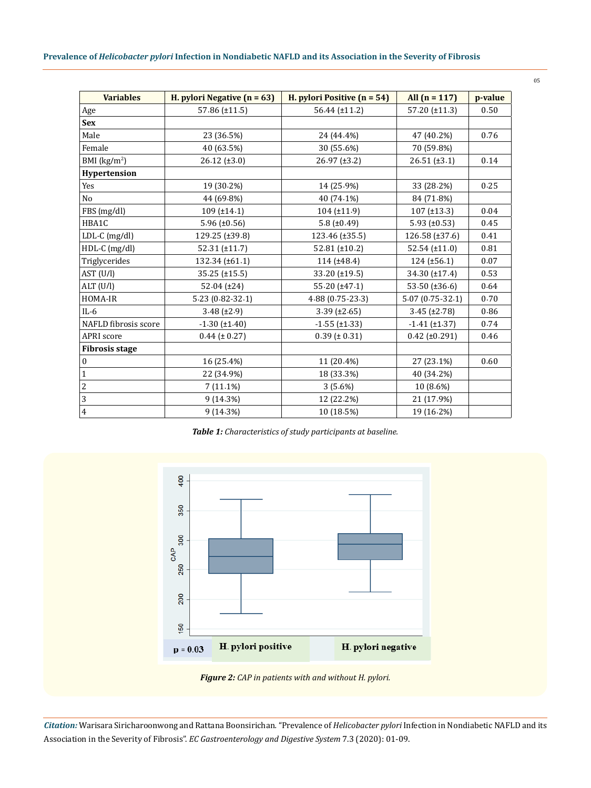| <b>Variables</b>        | H. pylori Negative $(n = 63)$ | H. pylori Positive $(n = 54)$ | All $(n = 117)$     | p-value |
|-------------------------|-------------------------------|-------------------------------|---------------------|---------|
| Age                     | 57.86 (±11.5)                 | $56.44 (\pm 11.2)$            | 57.20 (±11.3)       | 0.50    |
| <b>Sex</b>              |                               |                               |                     |         |
| Male                    | 23 (36.5%)                    | 24 (44.4%)                    | 47 (40.2%)          | 0.76    |
| Female                  | 40 (63.5%)                    | 30 (55.6%)                    | 70 (59.8%)          |         |
| BMI ( $\text{kg/m}^2$ ) | $26.12 (\pm 3.0)$             | $26.97 (\pm 3.2)$             | $26.51 (\pm 3.1)$   | 0.14    |
| Hypertension            |                               |                               |                     |         |
| Yes                     | 19 (30.2%)                    | 14 (25.9%)                    | 33 (28.2%)          | 0.25    |
| N <sub>o</sub>          | 44 (69.8%)                    | 40 (74.1%)                    | 84 (71.8%)          |         |
| FBS (mg/dl)             | $109$ (±14.1)                 | 104 (±11.9)                   | $107 (\pm 13.3)$    | 0.04    |
| HBA1C                   | $5.96 (\pm 0.56)$             | 5.8 ( $\pm$ 0.49)             | $5.93 \ (\pm 0.53)$ | 0.45    |
| LDL-C (mg/dl)           | 129.25 (±39.8)                | 123.46 (±35.5)                | 126.58 (±37.6)      | 0.41    |
| HDL-C (mg/dl)           | $52.31 (\pm 11.7)$            | 52.81 ( $\pm$ 10.2)           | $52.54 (\pm 11.0)$  | 0.81    |
| Triglycerides           | 132.34 (±61.1)                | 114(±48.4)                    | $124 (\pm 56.1)$    | 0.07    |
| AST (U/l)               | $35.25 (\pm 15.5)$            | 33.20 (±19.5)                 | 34.30 (±17.4)       | 0.53    |
| ALT (U/l)               | $52.04 (\pm 24)$              | $55.20 (\pm 47.1)$            | 53.50 ( $\pm$ 36.6) | 0.64    |
| HOMA-IR                 | 5.23 (0.82-32.1)              | 4.88 (0.75-23.3)              | $5.07(0.75-32.1)$   | 0.70    |
| $IL-6$                  | $3.48 (\pm 2.9)$              | $3.39$ (±2.65)                | $3.45 (\pm 2.78)$   | 0.86    |
| NAFLD fibrosis score    | $-1.30$ (±1.40)               | $-1.55$ ( $\pm 1.33$ )        | $-1.41$ (±1.37)     | 0.74    |
| APRI score              | $0.44 (\pm 0.27)$             | $0.39$ ( $\pm 0.31$ )         | $0.42 (\pm 0.291)$  | 0.46    |
| <b>Fibrosis stage</b>   |                               |                               |                     |         |
| $\boldsymbol{0}$        | 16 (25.4%)                    | 11 (20.4%)                    | 27 (23.1%)          | 0.60    |
| $\mathbf 1$             | 22 (34.9%)                    | 18 (33.3%)                    | 40 (34.2%)          |         |
| $\sqrt{2}$              | 7(11.1%)                      | 3(5.6%)                       | 10 (8.6%)           |         |
| $\overline{3}$          | 9(14.3%)                      | 12 (22.2%)                    | 21 (17.9%)          |         |
| $\overline{4}$          | 9(14.3%)                      | 10 (18.5%)                    | 19 (16.2%)          |         |

*Table 1: Characteristics of study participants at baseline.*



*Figure 2: CAP in patients with and without H. pylori.*

*Citation:* Warisara Siricharoonwong and Rattana Boonsirichan*.* "Prevalence of *Helicobacter pylori* Infection in Nondiabetic NAFLD and its Association in the Severity of Fibrosis". *EC Gastroenterology and Digestive System* 7.3 (2020): 01-09.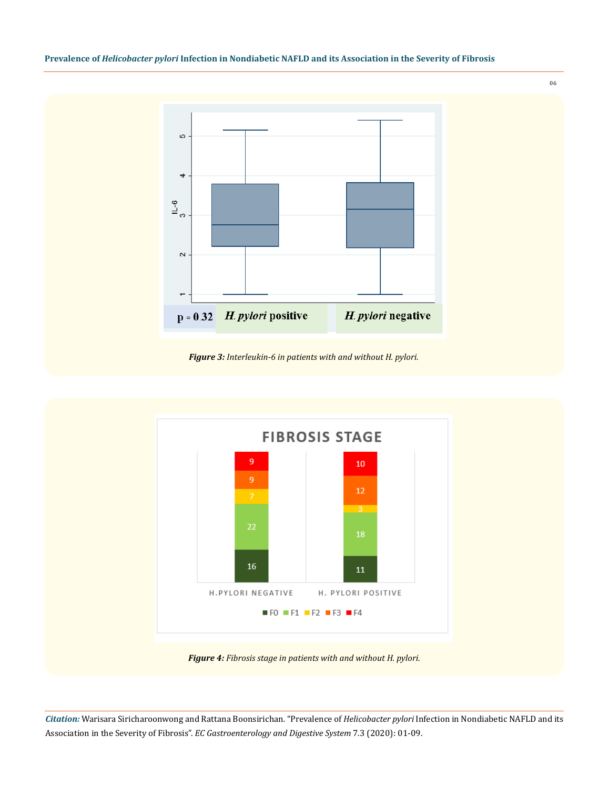



*Figure 3: Interleukin-6 in patients with and without H. pylori.*



*Figure 4: Fibrosis stage in patients with and without H. pylori.*

*Citation:* Warisara Siricharoonwong and Rattana Boonsirichan*.* "Prevalence of *Helicobacter pylori* Infection in Nondiabetic NAFLD and its Association in the Severity of Fibrosis". *EC Gastroenterology and Digestive System* 7.3 (2020): 01-09.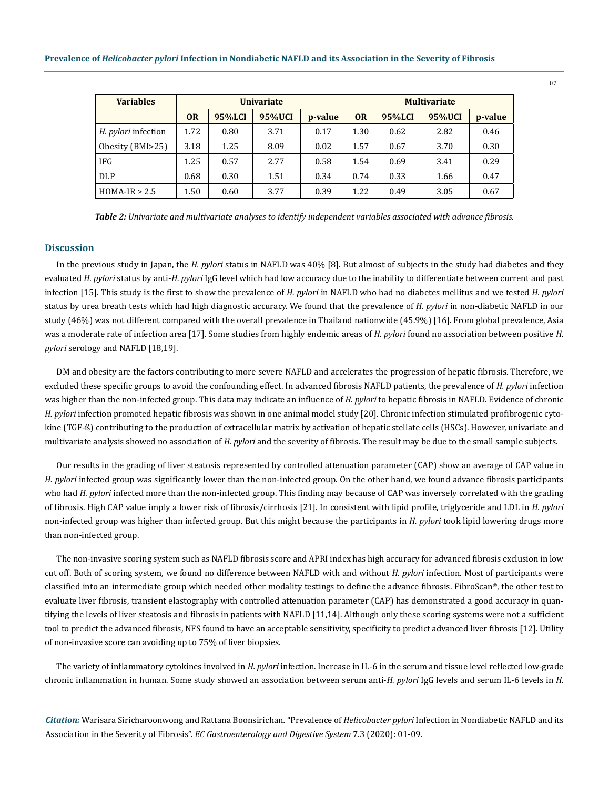| <b>Variables</b>           | <b>Univariate</b> |        |        | <b>Multivariate</b> |           |        |        |         |
|----------------------------|-------------------|--------|--------|---------------------|-----------|--------|--------|---------|
|                            | <b>OR</b>         | 95%LCI | 95%UCI | p-value             | <b>OR</b> | 95%LCI | 95%UCI | p-value |
| <i>H. pylori</i> infection | 1.72              | 0.80   | 3.71   | 0.17                | 1.30      | 0.62   | 2.82   | 0.46    |
| Obesity (BMI>25)           | 3.18              | 1.25   | 8.09   | 0.02                | 1.57      | 0.67   | 3.70   | 0.30    |
| <b>IFG</b>                 | 1.25              | 0.57   | 2.77   | 0.58                | 1.54      | 0.69   | 3.41   | 0.29    |
| DLP                        | 0.68              | 0.30   | 1.51   | 0.34                | 0.74      | 0.33   | 1.66   | 0.47    |
| $HOMA-IR > 2.5$            | 1.50              | 0.60   | 3.77   | 0.39                | 1.22      | 0.49   | 3.05   | 0.67    |

*Table 2: Univariate and multivariate analyses to identify independent variables associated with advance fibrosis.*

#### **Discussion**

In the previous study in Japan, the *H. pylori* status in NAFLD was 40% [8]. But almost of subjects in the study had diabetes and they evaluated *H. pylori* status by anti-*H. pylori* IgG level which had low accuracy due to the inability to differentiate between current and past infection [15]. This study is the first to show the prevalence of *H. pylori* in NAFLD who had no diabetes mellitus and we tested *H. pylori* status by urea breath tests which had high diagnostic accuracy. We found that the prevalence of *H. pylori* in non-diabetic NAFLD in our study (46%) was not different compared with the overall prevalence in Thailand nationwide (45.9%) [16]. From global prevalence, Asia was a moderate rate of infection area [17]. Some studies from highly endemic areas of *H. pylori* found no association between positive *H. pylori* serology and NAFLD [18,19].

DM and obesity are the factors contributing to more severe NAFLD and accelerates the progression of hepatic fibrosis. Therefore, we excluded these specific groups to avoid the confounding effect. In advanced fibrosis NAFLD patients, the prevalence of *H. pylori* infection was higher than the non-infected group. This data may indicate an influence of *H. pylori* to hepatic fibrosis in NAFLD. Evidence of chronic *H. pylori* infection promoted hepatic fibrosis was shown in one animal model study [20]. Chronic infection stimulated profibrogenic cytokine (TGF-ß) contributing to the production of extracellular matrix by activation of hepatic stellate cells (HSCs). However, univariate and multivariate analysis showed no association of *H. pylori* and the severity of fibrosis. The result may be due to the small sample subjects.

Our results in the grading of liver steatosis represented by controlled attenuation parameter (CAP) show an average of CAP value in *H. pylori* infected group was significantly lower than the non-infected group. On the other hand, we found advance fibrosis participants who had *H. pylori* infected more than the non-infected group. This finding may because of CAP was inversely correlated with the grading of fibrosis. High CAP value imply a lower risk of fibrosis/cirrhosis [21]. In consistent with lipid profile, triglyceride and LDL in *H. pylori* non-infected group was higher than infected group. But this might because the participants in *H. pylori* took lipid lowering drugs more than non-infected group.

The non-invasive scoring system such as NAFLD fibrosis score and APRI index has high accuracy for advanced fibrosis exclusion in low cut off. Both of scoring system, we found no difference between NAFLD with and without *H. pylori* infection. Most of participants were classified into an intermediate group which needed other modality testings to define the advance fibrosis. FibroScan®, the other test to evaluate liver fibrosis, transient elastography with controlled attenuation parameter (CAP) has demonstrated a good accuracy in quantifying the levels of liver steatosis and fibrosis in patients with NAFLD [11,14]. Although only these scoring systems were not a sufficient tool to predict the advanced fibrosis, NFS found to have an acceptable sensitivity, specificity to predict advanced liver fibrosis [12]. Utility of non-invasive score can avoiding up to 75% of liver biopsies.

The variety of inflammatory cytokines involved in *H. pylori* infection. Increase in IL-6 in the serum and tissue level reflected low-grade chronic inflammation in human. Some study showed an association between serum anti-*H. pylori* IgG levels and serum IL-6 levels in *H.* 

*Citation:* Warisara Siricharoonwong and Rattana Boonsirichan*.* "Prevalence of *Helicobacter pylori* Infection in Nondiabetic NAFLD and its Association in the Severity of Fibrosis". *EC Gastroenterology and Digestive System* 7.3 (2020): 01-09.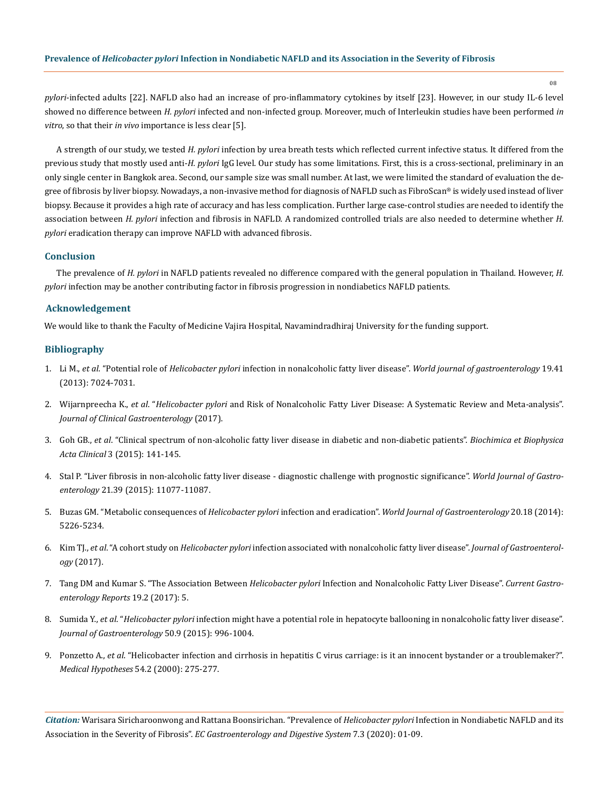*pylori*-infected adults [22]. NAFLD also had an increase of pro-inflammatory cytokines by itself [23]. However, in our study IL-6 level showed no difference between *H. pylori* infected and non-infected group. Moreover, much of Interleukin studies have been performed *in vitro*, so that their *in vivo* importance is less clear [5].

A strength of our study, we tested *H. pylori* infection by urea breath tests which reflected current infective status. It differed from the previous study that mostly used anti-*H. pylori* IgG level. Our study has some limitations. First, this is a cross-sectional, preliminary in an only single center in Bangkok area. Second, our sample size was small number. At last, we were limited the standard of evaluation the degree of fibrosis by liver biopsy. Nowadays, a non-invasive method for diagnosis of NAFLD such as FibroScan® is widely used instead of liver biopsy. Because it provides a high rate of accuracy and has less complication. Further large case-control studies are needed to identify the association between *H. pylori* infection and fibrosis in NAFLD. A randomized controlled trials are also needed to determine whether *H. pylori* eradication therapy can improve NAFLD with advanced fibrosis.

#### **Conclusion**

The prevalence of *H. pylori* in NAFLD patients revealed no difference compared with the general population in Thailand. However, *H. pylori* infection may be another contributing factor in fibrosis progression in nondiabetics NAFLD patients.

#### **Acknowledgement**

We would like to thank the Faculty of Medicine Vajira Hospital, Navamindradhiraj University for the funding support.

## **Bibliography**

- 1. Li M., *et al*. "Potential role of *Helicobacter pylori* [infection in nonalcoholic fatty liver disease".](https://www.ncbi.nlm.nih.gov/pubmed/24222944) *World journal of gastroenterology* 19.41 [\(2013\): 7024-7031.](https://www.ncbi.nlm.nih.gov/pubmed/24222944)
- 2. Wijarnpreecha K., *et al*. "*Helicobacter pylori* [and Risk of Nonalcoholic Fatty Liver Disease: A Systematic Review and Meta-analysis".](https://www.ncbi.nlm.nih.gov/pubmed/28098578) *[Journal of Clinical Gastroenterology](https://www.ncbi.nlm.nih.gov/pubmed/28098578)* (2017).
- 3. Goh GB., *et al*[. "Clinical spectrum of non-alcoholic fatty liver disease in diabetic and non-diabetic patients".](https://www.ncbi.nlm.nih.gov/pmc/articles/PMC4661498/) *Biochimica et Biophysica Acta Clinical* [3 \(2015\): 141-145.](https://www.ncbi.nlm.nih.gov/pmc/articles/PMC4661498/)
- 4. [Stal P. "Liver fibrosis in non-alcoholic fatty liver disease diagnostic challenge with prognostic significance".](https://www.ncbi.nlm.nih.gov/pubmed/26494963) *World Journal of Gastroenterology* [21.39 \(2015\): 11077-11087.](https://www.ncbi.nlm.nih.gov/pubmed/26494963)
- 5. Buzas GM. "Metabolic consequences of *Helicobacter pylori* infection and eradication". *[World Journal of Gastroenterology](https://www.ncbi.nlm.nih.gov/pmc/articles/PMC4017037/)* 20.18 (2014): [5226-5234.](https://www.ncbi.nlm.nih.gov/pmc/articles/PMC4017037/)
- 6. Kim TJ., *et al*. "A cohort study on *Helicobacter pylori* [infection associated with nonalcoholic fatty liver disease".](https://www.ncbi.nlm.nih.gov/pubmed/28382402) *Journal of Gastroenterology* [\(2017\).](https://www.ncbi.nlm.nih.gov/pubmed/28382402)
- 7. Tang DM and Kumar S. "The Association Between *Helicobacter pylori* Infection and Nonalcoholic Fatty Liver Disease". *Current Gastroenterology Reports* 19.2 (2017): 5.
- 8. Sumida Y., *et al*. "*Helicobacter pylori* [infection might have a potential role in hepatocyte ballooning in nonalcoholic fatty liver disease".](https://www.ncbi.nlm.nih.gov/pubmed/25622927) *[Journal of Gastroenterology](https://www.ncbi.nlm.nih.gov/pubmed/25622927)* 50.9 (2015): 996-1004.
- 9. Ponzetto A., *et al*[. "Helicobacter infection and cirrhosis in hepatitis C virus carriage: is it an innocent bystander or a troublemaker?".](https://www.ncbi.nlm.nih.gov/pubmed/10790764)  *[Medical Hypotheses](https://www.ncbi.nlm.nih.gov/pubmed/10790764)* 54.2 (2000): 275-277.

*Citation:* Warisara Siricharoonwong and Rattana Boonsirichan*.* "Prevalence of *Helicobacter pylori* Infection in Nondiabetic NAFLD and its Association in the Severity of Fibrosis". *EC Gastroenterology and Digestive System* 7.3 (2020): 01-09.